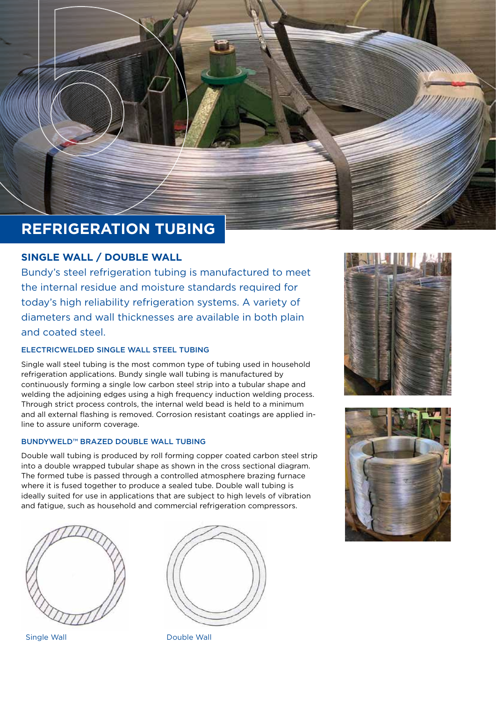

# **REFRIGERATION TUBING**

## **SINGLE WALL / DOUBLE WALL**

Bundy's steel refrigeration tubing is manufactured to meet the internal residue and moisture standards required for today's high reliability refrigeration systems. A variety of diameters and wall thicknesses are available in both plain and coated steel.

## ELECTRICWELDED SINGLE WALL STEEL TUBING

Single wall steel tubing is the most common type of tubing used in household refrigeration applications. Bundy single wall tubing is manufactured by continuously forming a single low carbon steel strip into a tubular shape and welding the adjoining edges using a high frequency induction welding process. Through strict process controls, the internal weld bead is held to a minimum and all external flashing is removed. Corrosion resistant coatings are applied inline to assure uniform coverage.

#### BUNDYWELD™ BRAZED DOUBLE WALL TUBING

Double wall tubing is produced by roll forming copper coated carbon steel strip into a double wrapped tubular shape as shown in the cross sectional diagram. The formed tube is passed through a controlled atmosphere brazing furnace where it is fused together to produce a sealed tube. Double wall tubing is ideally suited for use in applications that are subject to high levels of vibration and fatigue, such as household and commercial refrigeration compressors.





Single Wall **Double Wall** 



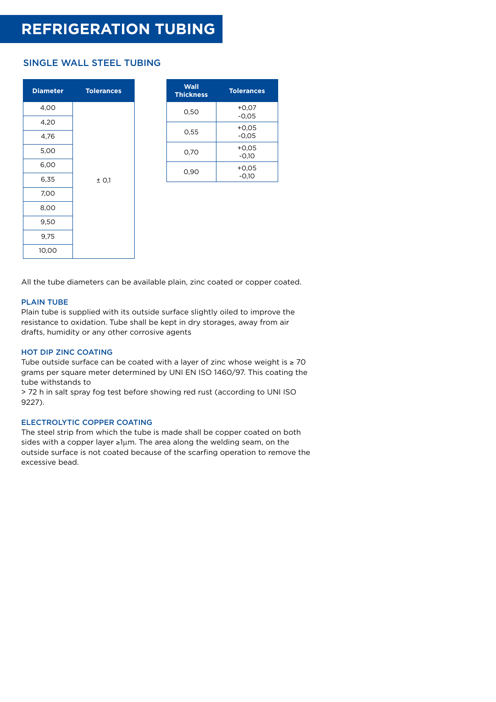## **REFRIGERATION TUBING**

## SINGLE WALL STEEL TUBING

| <b>Diameter</b> | <b>Tolerances</b> |  |  |  |
|-----------------|-------------------|--|--|--|
| 4,00            |                   |  |  |  |
| 4,20            |                   |  |  |  |
| 4,76            |                   |  |  |  |
| 5,00            |                   |  |  |  |
| 6,00            |                   |  |  |  |
| 6,35            | $±$ O,1           |  |  |  |
| 7,00            |                   |  |  |  |
| 8,00            |                   |  |  |  |
| 9,50            |                   |  |  |  |
| 9,75            |                   |  |  |  |
| 10,00           |                   |  |  |  |

| Wall<br><b>Thickness</b> | <b>Tolerances</b>  |  |  |
|--------------------------|--------------------|--|--|
| 0,50                     | $+0,07$<br>$-0.05$ |  |  |
| 0,55                     | $+0,05$<br>$-0.05$ |  |  |
| 0,70                     | $+0.05$<br>$-0.10$ |  |  |
| 0.90                     | $+0,05$<br>$-0,10$ |  |  |

All the tube diameters can be available plain, zinc coated or copper coated.

#### PLAIN TUBE

Plain tube is supplied with its outside surface slightly oiled to improve the resistance to oxidation. Tube shall be kept in dry storages, away from air drafts, humidity or any other corrosive agents

#### HOT DIP ZINC COATING

Tube outside surface can be coated with a layer of zinc whose weight is  $\geq 70$ grams per square meter determined by UNI EN ISO 1460/97. This coating the tube withstands to

> 72 h in salt spray fog test before showing red rust (according to UNI ISO 9227).

### ELECTROLYTIC COPPER COATING

The steel strip from which the tube is made shall be copper coated on both sides with a copper layer ≥1µm. The area along the welding seam, on the outside surface is not coated because of the scarfing operation to remove the excessive bead.